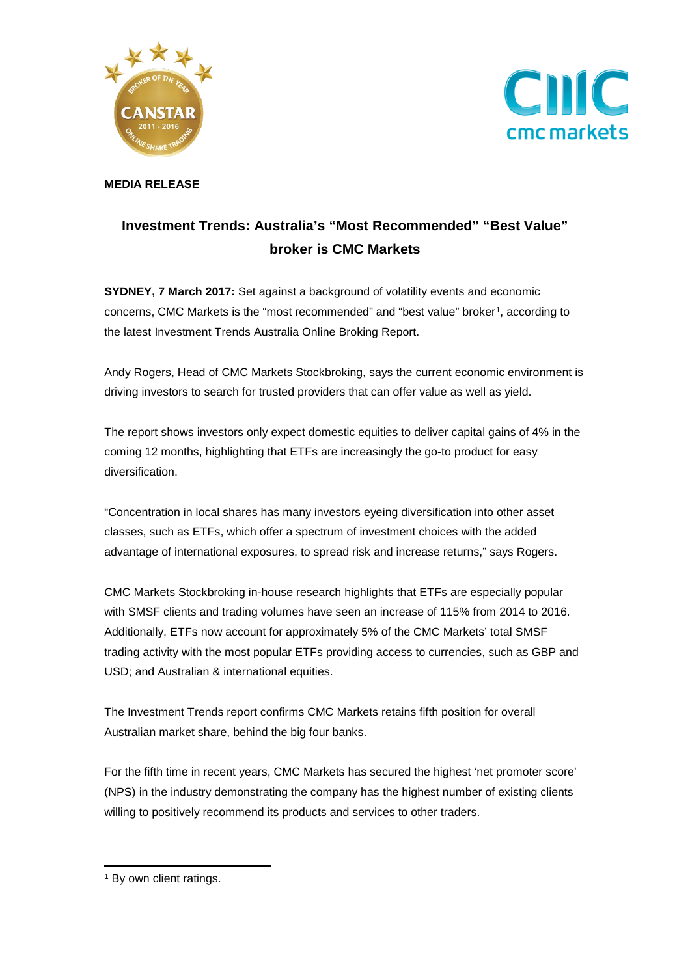



**MEDIA RELEASE**

## **Investment Trends: Australia's "Most Recommended" "Best Value" broker is CMC Markets**

**SYDNEY, 7 March 2017:** Set against a background of volatility events and economic concerns, CMC Markets is the "most recommended" and "best value" broker[1](#page-0-0), according to the latest Investment Trends Australia Online Broking Report.

Andy Rogers, Head of CMC Markets Stockbroking, says the current economic environment is driving investors to search for trusted providers that can offer value as well as yield.

The report shows investors only expect domestic equities to deliver capital gains of 4% in the coming 12 months, highlighting that ETFs are increasingly the go-to product for easy diversification.

"Concentration in local shares has many investors eyeing diversification into other asset classes, such as ETFs, which offer a spectrum of investment choices with the added advantage of international exposures, to spread risk and increase returns," says Rogers.

CMC Markets Stockbroking in-house research highlights that ETFs are especially popular with SMSF clients and trading volumes have seen an increase of 115% from 2014 to 2016. Additionally, ETFs now account for approximately 5% of the CMC Markets' total SMSF trading activity with the most popular ETFs providing access to currencies, such as GBP and USD; and Australian & international equities.

The Investment Trends report confirms CMC Markets retains fifth position for overall Australian market share, behind the big four banks.

For the fifth time in recent years, CMC Markets has secured the highest 'net promoter score' (NPS) in the industry demonstrating the company has the highest number of existing clients willing to positively recommend its products and services to other traders.

<span id="page-0-0"></span><sup>&</sup>lt;sup>1</sup> By own client ratings.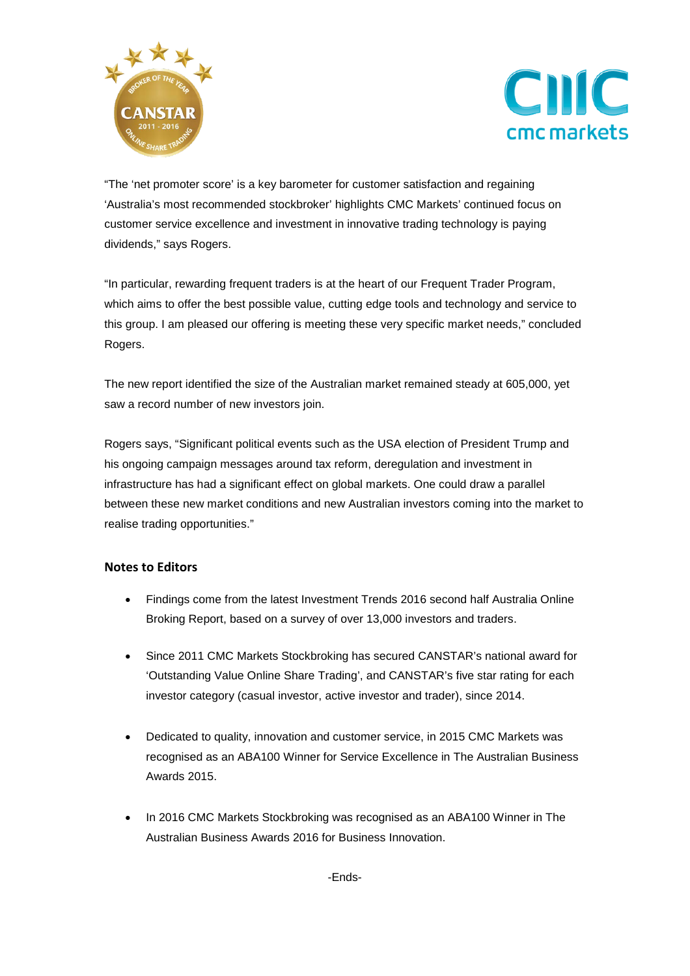



"The 'net promoter score' is a key barometer for customer satisfaction and regaining 'Australia's most recommended stockbroker' highlights CMC Markets' continued focus on customer service excellence and investment in innovative trading technology is paying dividends," says Rogers.

"In particular, rewarding frequent traders is at the heart of our Frequent Trader Program, which aims to offer the best possible value, cutting edge tools and technology and service to this group. I am pleased our offering is meeting these very specific market needs," concluded Rogers.

The new report identified the size of the Australian market remained steady at 605,000, yet saw a record number of new investors join.

Rogers says, "Significant political events such as the USA election of President Trump and his ongoing campaign messages around tax reform, deregulation and investment in infrastructure has had a significant effect on global markets. One could draw a parallel between these new market conditions and new Australian investors coming into the market to realise trading opportunities."

## **Notes to Editors**

- Findings come from the latest Investment Trends 2016 second half Australia Online Broking Report, based on a survey of over 13,000 investors and traders.
- Since 2011 [CMC Markets Stockbroking](http://www.cmcmarkets.com.au/en/pro-platform) has secured CANSTAR's national award for 'Outstanding Value Online Share Trading', and CANSTAR's five star rating for each investor category (casual investor, active investor and trader), since 2014.
- Dedicated to quality, innovation and customer service, in 2015 CMC Markets was recognised as an ABA100 Winner for Service Excellence in The Australian Business Awards 2015.
- In 2016 [CMC Markets](http://www.cmcmarkets.com.au/) Stockbroking was recognised as an ABA100 Winner in The Australian Business Awards 2016 for Business Innovation.